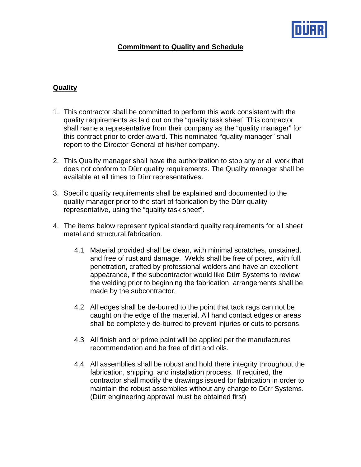

## **Commitment to Quality and Schedule**

## **Quality**

- 1. This contractor shall be committed to perform this work consistent with the quality requirements as laid out on the "quality task sheet" This contractor shall name a representative from their company as the "quality manager" for this contract prior to order award. This nominated "quality manager" shall report to the Director General of his/her company.
- 2. This Quality manager shall have the authorization to stop any or all work that does not conform to Dürr quality requirements. The Quality manager shall be available at all times to Dürr representatives.
- 3. Specific quality requirements shall be explained and documented to the quality manager prior to the start of fabrication by the Dürr quality representative, using the "quality task sheet".
- 4. The items below represent typical standard quality requirements for all sheet metal and structural fabrication.
	- 4.1 Material provided shall be clean, with minimal scratches, unstained, and free of rust and damage. Welds shall be free of pores, with full penetration, crafted by professional welders and have an excellent appearance, if the subcontractor would like Dürr Systems to review the welding prior to beginning the fabrication, arrangements shall be made by the subcontractor.
	- 4.2 All edges shall be de-burred to the point that tack rags can not be caught on the edge of the material. All hand contact edges or areas shall be completely de-burred to prevent injuries or cuts to persons.
	- 4.3 All finish and or prime paint will be applied per the manufactures recommendation and be free of dirt and oils.
	- 4.4 All assemblies shall be robust and hold there integrity throughout the fabrication, shipping, and installation process. If required, the contractor shall modify the drawings issued for fabrication in order to maintain the robust assemblies without any charge to Dürr Systems. (Dürr engineering approval must be obtained first)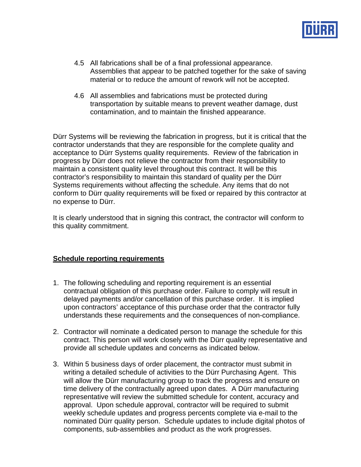

- 4.5 All fabrications shall be of a final professional appearance. Assemblies that appear to be patched together for the sake of saving material or to reduce the amount of rework will not be accepted.
- 4.6 All assemblies and fabrications must be protected during transportation by suitable means to prevent weather damage, dust contamination, and to maintain the finished appearance.

Dürr Systems will be reviewing the fabrication in progress, but it is critical that the contractor understands that they are responsible for the complete quality and acceptance to Dürr Systems quality requirements. Review of the fabrication in progress by Dürr does not relieve the contractor from their responsibility to maintain a consistent quality level throughout this contract. It will be this contractor's responsibility to maintain this standard of quality per the Dürr Systems requirements without affecting the schedule. Any items that do not conform to Dürr quality requirements will be fixed or repaired by this contractor at no expense to Dürr.

It is clearly understood that in signing this contract, the contractor will conform to this quality commitment.

## **Schedule reporting requirements**

- 1. The following scheduling and reporting requirement is an essential contractual obligation of this purchase order. Failure to comply will result in delayed payments and/or cancellation of this purchase order. It is implied upon contractors' acceptance of this purchase order that the contractor fully understands these requirements and the consequences of non-compliance.
- 2. Contractor will nominate a dedicated person to manage the schedule for this contract. This person will work closely with the Dürr quality representative and provide all schedule updates and concerns as indicated below.
- 3. Within 5 business days of order placement, the contractor must submit in writing a detailed schedule of activities to the Dürr Purchasing Agent. This will allow the Dürr manufacturing group to track the progress and ensure on time delivery of the contractually agreed upon dates. A Dürr manufacturing representative will review the submitted schedule for content, accuracy and approval. Upon schedule approval, contractor will be required to submit weekly schedule updates and progress percents complete via e-mail to the nominated Dürr quality person. Schedule updates to include digital photos of components, sub-assemblies and product as the work progresses.